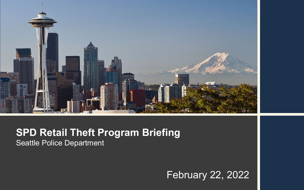

#### **SPD Retail Theft Program Briefing** Seattle Police Department

#### February 22, 2022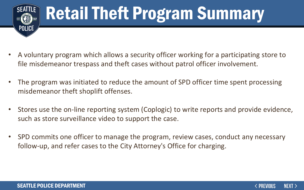

# Retail Theft Program Summary

- A voluntary program which allows a security officer working for a participating store to file misdemeanor trespass and theft cases without patrol officer involvement.
- The program was initiated to reduce the amount of SPD officer time spent processing misdemeanor theft shoplift offenses.
- Stores use the on-line reporting system (Coplogic) to write reports and provide evidence, such as store surveillance video to support the case.
- SPD commits one officer to manage the program, review cases, conduct any necessary follow-up, and refer cases to the City Attorney's Office for charging.

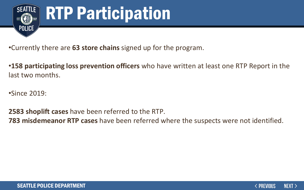

# RTP Participation

•Currently there are **63 store chains** signed up for the program.

•**158 participating loss prevention officers** who have written at least one RTP Report in the last two months.

•Since 2019:

**2583 shoplift cases** have been referred to the RTP.

**783 misdemeanor RTP cases** have been referred where the suspects were not identified.